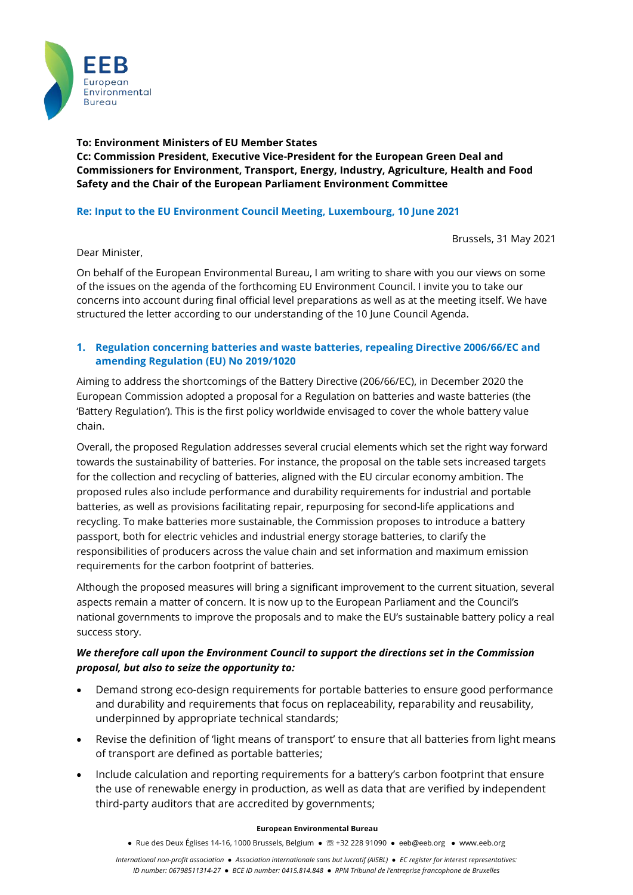

**To: Environment Ministers of EU Member States Cc: Commission President, Executive Vice-President for the European Green Deal and Commissioners for Environment, Transport, Energy, Industry, Agriculture, Health and Food Safety and the Chair of the European Parliament Environment Committee**

# **Re: Input to the EU Environment Council Meeting, Luxembourg, 10 June 2021**

Brussels, 31 May 2021

### Dear Minister,

On behalf of the European Environmental Bureau, I am writing to share with you our views on some of the issues on the agenda of the forthcoming EU Environment Council. I invite you to take our concerns into account during final official level preparations as well as at the meeting itself. We have structured the letter according to our understanding of the 10 June Council Agenda.

## **1. Regulation concerning batteries and waste batteries, repealing Directive 2006/66/EC and amending Regulation (EU) No 2019/1020**

Aiming to address the shortcomings of the Battery Directive (206/66/EC), in December 2020 the European Commission adopted a proposal for a Regulation on batteries and waste batteries (the 'Battery Regulation'). This is the first policy worldwide envisaged to cover the whole battery value chain.

Overall, the proposed Regulation addresses several crucial elements which set the right way forward towards the sustainability of batteries. For instance, the proposal on the table sets increased targets for the collection and recycling of batteries, aligned with the EU circular economy ambition. The proposed rules also include performance and durability requirements for industrial and portable batteries, as well as provisions facilitating repair, repurposing for second-life applications and recycling. To make batteries more sustainable, the Commission proposes to introduce a battery passport, both for electric vehicles and industrial energy storage batteries, to clarify the responsibilities of producers across the value chain and set information and maximum emission requirements for the carbon footprint of batteries.

Although the proposed measures will bring a significant improvement to the current situation, several aspects remain a matter of concern. It is now up to the European Parliament and the Council's national governments to improve the proposals and to make the EU's sustainable battery policy a real success story.

# *We therefore call upon the Environment Council to support the directions set in the Commission proposal, but also to seize the opportunity to:*

- Demand strong eco-design requirements for portable batteries to ensure good performance and durability and requirements that focus on replaceability, reparability and reusability, underpinned by appropriate technical standards;
- Revise the definition of 'light means of transport' to ensure that all batteries from light means of transport are defined as portable batteries;
- Include calculation and reporting requirements for a battery's carbon footprint that ensure the use of renewable energy in production, as well as data that are verified by independent third-party auditors that are accredited by governments;

### **European Environmental Bureau**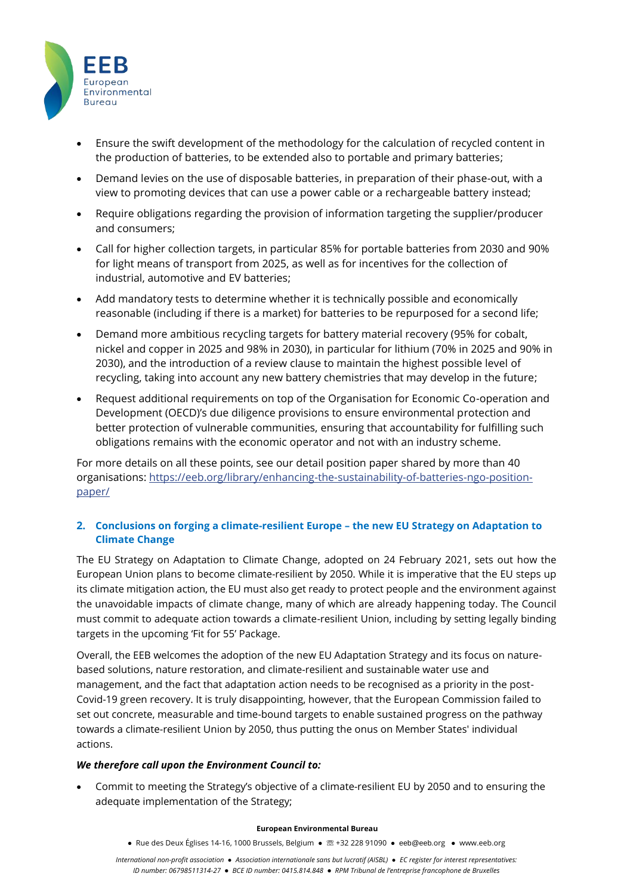

- Ensure the swift development of the methodology for the calculation of recycled content in the production of batteries, to be extended also to portable and primary batteries;
- Demand levies on the use of disposable batteries, in preparation of their phase-out, with a view to promoting devices that can use a power cable or a rechargeable battery instead;
- Require obligations regarding the provision of information targeting the supplier/producer and consumers;
- Call for higher collection targets, in particular 85% for portable batteries from 2030 and 90% for light means of transport from 2025, as well as for incentives for the collection of industrial, automotive and EV batteries;
- Add mandatory tests to determine whether it is technically possible and economically reasonable (including if there is a market) for batteries to be repurposed for a second life;
- Demand more ambitious recycling targets for battery material recovery (95% for cobalt, nickel and copper in 2025 and 98% in 2030), in particular for lithium (70% in 2025 and 90% in 2030), and the introduction of a review clause to maintain the highest possible level of recycling, taking into account any new battery chemistries that may develop in the future;
- Request additional requirements on top of the Organisation for Economic Co-operation and Development (OECD)'s due diligence provisions to ensure environmental protection and better protection of vulnerable communities, ensuring that accountability for fulfilling such obligations remains with the economic operator and not with an industry scheme.

For more details on all these points, see our detail position paper shared by more than 40 organisations: [https://eeb.org/library/enhancing-the-sustainability-of-batteries-ngo-position](https://eeb.org/library/enhancing-the-sustainability-of-batteries-ngo-position-paper/)[paper/](https://eeb.org/library/enhancing-the-sustainability-of-batteries-ngo-position-paper/)

## **2. Conclusions on forging a climate-resilient Europe – the new EU Strategy on Adaptation to Climate Change**

The [EU Strategy on Adaptation to Climate Change,](https://ec.europa.eu/clima/sites/clima/files/adaptation/what/docs/eu_strategy_2021.pdf) adopted on 24 February 2021, sets out how the European Union plans to become climate-resilient by 2050. While it is imperative that the EU steps up its climate mitigation action, the EU must also get ready to protect people and the environment against the unavoidable impacts of climate change, many of which are already happening today. The Council must commit to adequate action towards a climate-resilient Union, including by setting legally binding targets in the upcoming 'Fit for 55' Package.

Overall, the EEB welcomes the adoption of the new EU Adaptation Strategy and its focus on naturebased solutions, nature restoration, and climate-resilient and sustainable water use and management, and the fact that adaptation action needs to be recognised as a priority in the post-Covid-19 green recovery. It is truly disappointing, however, that the European Commission failed to set out concrete, measurable and time-bound targets to enable sustained progress on the pathway towards a climate-resilient Union by 2050, thus putting the onus on Member States' individual actions.

### *We therefore call upon the Environment Council to:*

• Commit to meeting the Strategy's objective of a climate-resilient EU by 2050 and to ensuring the adequate implementation of the Strategy;

### **European Environmental Bureau**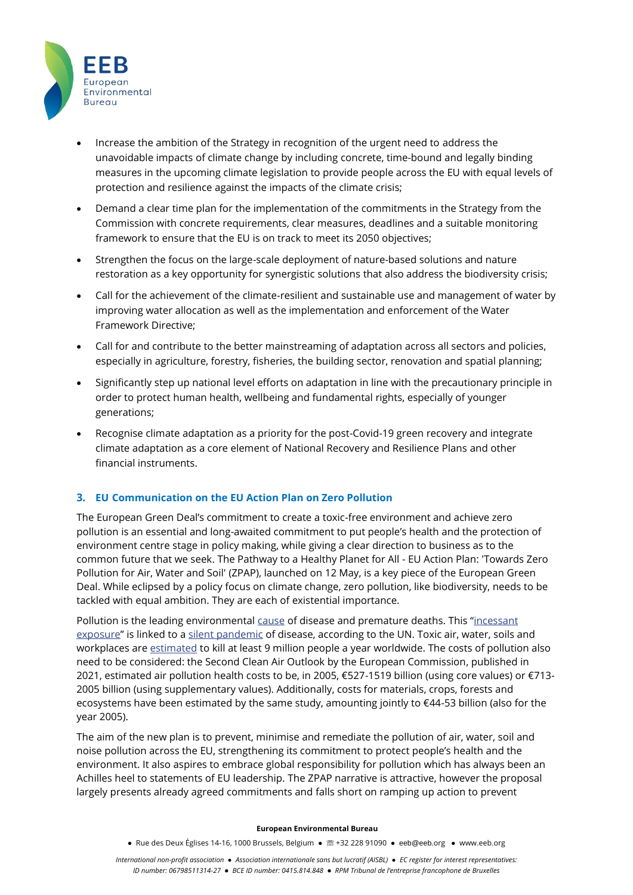

- Increase the ambition of the Strategy in recognition of the urgent need to address the unavoidable impacts of climate change by including concrete, time-bound and legally binding measures in the upcoming climate legislation to provide people across the EU with equal levels of protection and resilience against the impacts of the climate crisis;
- Demand a clear time plan for the implementation of the commitments in the Strategy from the Commission with concrete requirements, clear measures, deadlines and a suitable monitoring framework to ensure that the EU is on track to meet its 2050 objectives;
- Strengthen the focus on the large-scale deployment of nature-based solutions and nature restoration as a key opportunity for synergistic solutions that also address the biodiversity crisis;
- Call for the achievement of the climate-resilient and sustainable use and management of water by improving water allocation as well as the implementation and enforcement of the Water Framework Directive;
- Call for and contribute to the better mainstreaming of adaptation across all sectors and policies, especially in agriculture, forestry, fisheries, the building sector, renovation and spatial planning;
- Significantly step up national level efforts on adaptation in line with the precautionary principle in order to protect human health, wellbeing and fundamental rights, especially of younger generations;
- Recognise climate adaptation as a priority for the post-Covid-19 green recovery and integrate climate adaptation as a core element of National Recovery and Resilience Plans and other financial instruments.

### **3. EU Communication on the EU Action Plan on Zero Pollution**

The European Green Deal's commitment to create a toxic-free environment and achieve zero pollution is an essential and long-awaited commitment to put people's health and the protection of environment centre stage in policy making, while giving a clear direction to business as to the common future that we seek. The Pathway to a Healthy Planet for All - EU Action Plan: 'Towards Zero Pollution for Air, Water and Soil' (ZPAP), launched on 12 May, is a key piece of the European Green Deal. While eclipsed by a policy focus on climate change, zero pollution, like biodiversity, needs to be tackled with equal ambition. They are each of existential importance.

Pollution is the leading environmental [cause](https://www.thelancet.com/pb-assets/Lancet/stories/commissions/pollution-2017/Pollution_and_Health_Infographic.pdf) of disease and premature deaths. This "[incessant](https://www.ohchr.org/EN/Issues/Environment/SRToxicsandhumanrights/Pages/Index.aspx)  [exposure](https://www.ohchr.org/EN/Issues/Environment/SRToxicsandhumanrights/Pages/Index.aspx)" is linked to a [silent pandemic](https://www.ohchr.org/en/NewsEvents/Pages/DisplayNews.aspx?NewsID=23788&LangID=E) of disease, according to the UN. Toxic air, water, soils and workplaces are [estimated](https://www.thelancet.com/commissions/pollution-and-health) to kill at least 9 million people a year worldwide. The costs of pollution also need to be considered: the Second Clean Air Outlook by the European Commission, published in 2021, estimated air pollution health costs to be, in 2005, €527-1519 billion (using core values) or €713- 2005 billion (using supplementary values). Additionally, costs for materials, crops, forests and ecosystems have been estimated by the same study, amounting jointly to €44-53 billion (also for the year 2005).

The aim of the new plan is to prevent, minimise and remediate the pollution of air, water, soil and noise pollution across the EU, strengthening its commitment to protect people's health and the environment. It also aspires to embrace global responsibility for pollution which has always been an Achilles heel to statements of EU leadership. The ZPAP narrative is attractive, however the proposal largely presents already agreed commitments and falls short on ramping up action to prevent

#### **European Environmental Bureau**

**●** Rue des Deux Églises 14-16, 1000 Brussels, Belgium ● ☏ +32 228 91090 ● eeb@eeb.org ● www.eeb.org

*International non-profit association ● Association internationale sans but lucratif (AISBL) ● EC register for interest representatives: ID number: 06798511314-27* **●** *BCE ID number: 0415.814.848* **●** *RPM Tribunal de l'entreprise francophone de Bruxelles*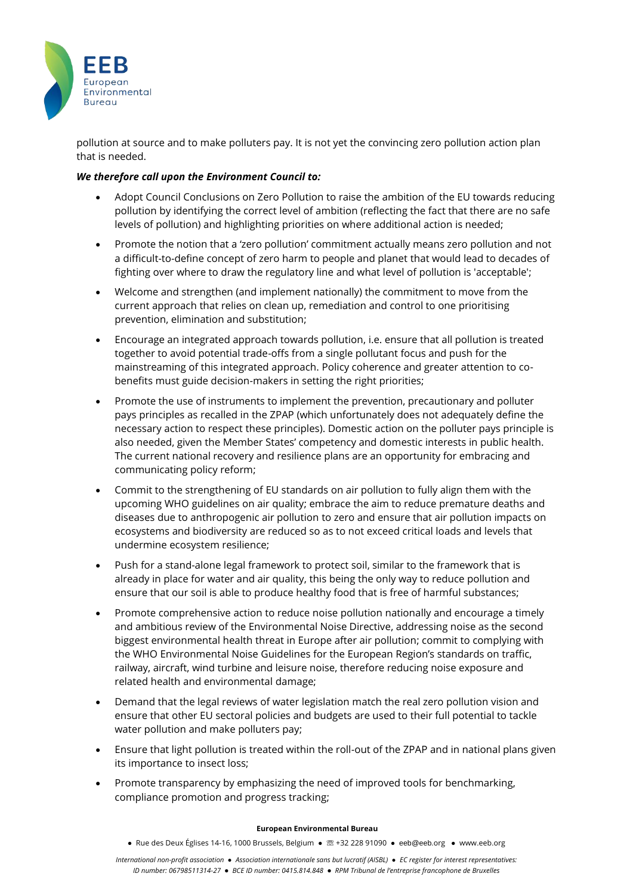

pollution at source and to make polluters pay. It is not yet the convincing zero pollution action plan that is needed.

### *We therefore call upon the Environment Council to:*

- Adopt Council Conclusions on Zero Pollution to raise the ambition of the EU towards reducing pollution by identifying the correct level of ambition (reflecting the fact that there are no safe levels of pollution) and highlighting priorities on where additional action is needed;
- Promote the notion that a 'zero pollution' commitment actually means zero pollution and not a difficult-to-define concept of zero harm to people and planet that would lead to decades of fighting over where to draw the regulatory line and what level of pollution is 'acceptable';
- Welcome and strengthen (and implement nationally) the commitment to move from the current approach that relies on clean up, remediation and control to one prioritising prevention, elimination and substitution;
- Encourage an integrated approach towards pollution, i.e. ensure that all pollution is treated together to avoid potential trade-offs from a single pollutant focus and push for the mainstreaming of this integrated approach. Policy coherence and greater attention to cobenefits must guide decision-makers in setting the right priorities;
- Promote the use of instruments to implement the prevention, precautionary and polluter pays principles as recalled in the ZPAP (which unfortunately does not adequately define the necessary action to respect these principles). Domestic action on the polluter pays principle is also needed, given the Member States' competency and domestic interests in public health. The current national recovery and resilience plans are an opportunity for embracing and communicating policy reform;
- Commit to the strengthening of EU standards on air pollution to fully align them with the upcoming WHO guidelines on air quality; embrace the aim to reduce premature deaths and diseases due to anthropogenic air pollution to zero and ensure that air pollution impacts on ecosystems and biodiversity are reduced so as to not exceed critical loads and levels that undermine ecosystem resilience;
- Push for a stand-alone legal framework to protect soil, similar to the framework that is already in place for water and air quality, this being the only way to reduce pollution and ensure that our soil is able to produce healthy food that is free of harmful substances;
- Promote comprehensive action to reduce noise pollution nationally and encourage a timely and ambitious review of the Environmental Noise Directive, addressing noise as the second biggest environmental health threat in Europe after air pollution; commit to complying with the WHO Environmental Noise Guidelines for the European Region's standards on traffic, railway, aircraft, wind turbine and leisure noise, therefore reducing noise exposure and related health and environmental damage;
- Demand that the legal reviews of water legislation match the real zero pollution vision and ensure that other EU sectoral policies and budgets are used to their full potential to tackle water pollution and make polluters pay;
- Ensure that light pollution is treated within the roll-out of the ZPAP and in national plans given its importance to insect loss;
- Promote transparency by emphasizing the need of improved tools for benchmarking, compliance promotion and progress tracking;

### **European Environmental Bureau**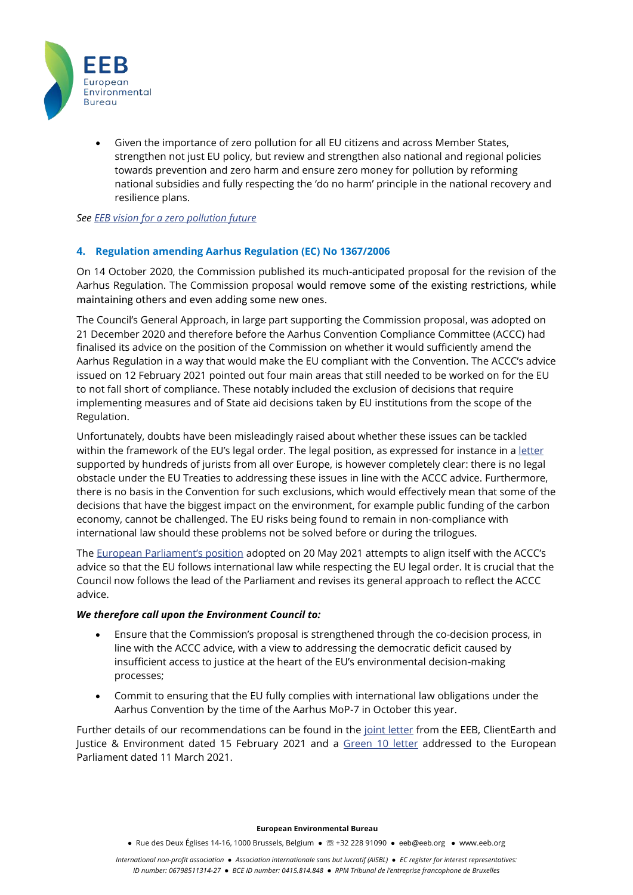

• Given the importance of zero pollution for all EU citizens and across Member States, strengthen not just EU policy, but review and strengthen also national and regional policies towards prevention and zero harm and ensure zero money for pollution by reforming national subsidies and fully respecting the 'do no harm' principle in the national recovery and resilience plans.

*Se[e EEB vision for a zero pollution future](https://eeb.org/library/civil-society-vision-for-a-zero-pollution-future/)* 

## **4. Regulation amending Aarhus Regulation (EC) No 1367/2006**

On 14 October 2020, the Commission published its much-anticipated proposal for the revision of the Aarhus Regulation. The Commission proposal would remove some of the existing restrictions, while maintaining others and even adding some new ones.

The Council's General Approach, in large part supporting the Commission proposal, was adopted on 21 December 2020 and therefore before the Aarhus Convention Compliance Committee (ACCC) had finalised its advice on the position of the Commission on whether it would sufficiently amend the Aarhus Regulation in a way that would make the EU compliant with the Convention. The ACCC's advice issued on 12 February 2021 pointed out four main areas that still needed to be worked on for the EU to not fall short of compliance. These notably included the exclusion of decisions that require implementing measures and of State aid decisions taken by EU institutions from the scope of the Regulation.

Unfortunately, doubts have been misleadingly raised about whether these issues can be tackled within the framework of the EU's legal order. The legal position, as expressed for instance in a [letter](https://www.thegoodlobby.eu/wp-content/uploads/2021/04/Open-Letter-Aarhus-Convention-from-The-Good-Lobby-legal-academics-and-scholars1.pdf) supported by hundreds of jurists from all over Europe, is however completely clear: there is no legal obstacle under the EU Treaties to addressing these issues in line with the ACCC advice. Furthermore, there is no basis in the Convention for such exclusions, which would effectively mean that some of the decisions that have the biggest impact on the environment, for example public funding of the carbon economy, cannot be challenged. The EU risks being found to remain in non-compliance with international law should these problems not be solved before or during the trilogues.

The [European Parliament's position](https://www.europarl.europa.eu/doceo/document/TA-9-2021-0254_EN.html) adopted on 20 May 2021 attempts to align itself with the ACCC's advice so that the EU follows international law while respecting the EU legal order. It is crucial that the Council now follows the lead of the Parliament and revises its general approach to reflect the ACCC advice.

### *We therefore call upon the Environment Council to:*

- Ensure that the Commission's proposal is strengthened through the co-decision process, in line with the ACCC advice, with a view to addressing the democratic deficit caused by insufficient access to justice at the heart of the EU's environmental decision-making processes;
- Commit to ensuring that the EU fully complies with international law obligations under the Aarhus Convention by the time of the Aarhus MoP-7 in October this year.

Further details of our recommendations can be found in the [joint letter](https://eeb.org/library/revision-of-the-aarhus-regulation-follow-up-ngo-letter-to-environment-ministers-of-the-eu/) from the EEB, ClientEarth and Justice & Environment dated 15 February 2021 and a [Green 10 letter](https://eeb.org/library/ensuring-compliance-with-international-law-through-aarhus-regulation-revision-green10-letter/) addressed to the European Parliament dated 11 March 2021.

#### **European Environmental Bureau**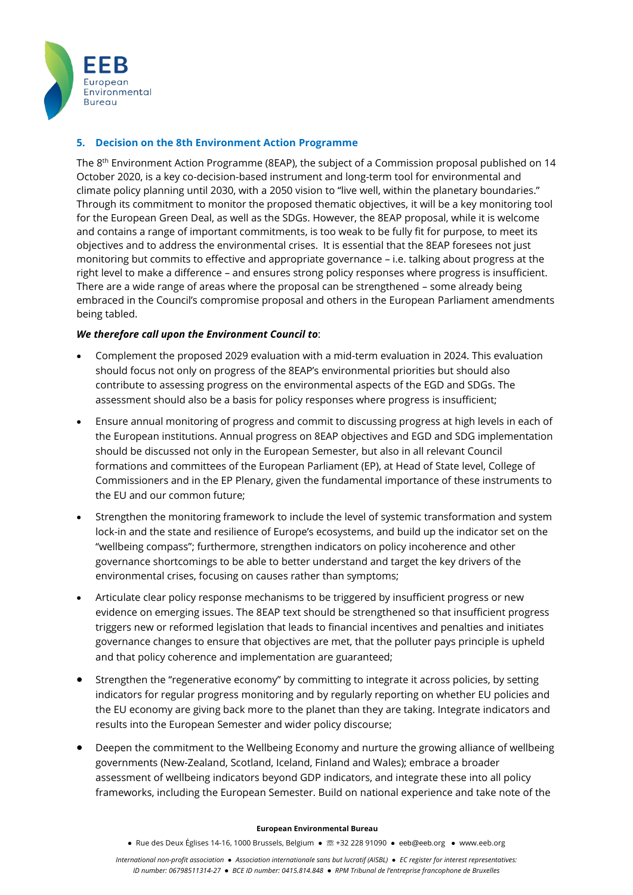

# **5. Decision on the 8th Environment Action Programme**

The  $8<sup>th</sup>$  Environment Action Programme (8EAP), the subject of a Commission proposal published on 14 October 2020, is a key co-decision-based instrument and long-term tool for environmental and climate policy planning until 2030, with a 2050 vision to "live well, within the planetary boundaries." Through its commitment to monitor the proposed thematic objectives, it will be a key monitoring tool for the European Green Deal, as well as the SDGs. However, the 8EAP proposal, while it is welcome and contains a range of important commitments, is too weak to be fully fit for purpose, to meet its objectives and to address the environmental crises. It is essential that the 8EAP foresees not just monitoring but commits to effective and appropriate governance – i.e. talking about progress at the right level to make a difference – and ensures strong policy responses where progress is insufficient. There are a wide range of areas where the proposal can be strengthened – some already being embraced in the Council's compromise proposal and others in the European Parliament amendments being tabled.

## *We therefore call upon the Environment Council to*:

- Complement the proposed 2029 evaluation with a mid-term evaluation in 2024. This evaluation should focus not only on progress of the 8EAP's environmental priorities but should also contribute to assessing progress on the environmental aspects of the EGD and SDGs. The assessment should also be a basis for policy responses where progress is insufficient;
- Ensure annual monitoring of progress and commit to discussing progress at high levels in each of the European institutions. Annual progress on 8EAP objectives and EGD and SDG implementation should be discussed not only in the European Semester, but also in all relevant Council formations and committees of the European Parliament (EP), at Head of State level, College of Commissioners and in the EP Plenary, given the fundamental importance of these instruments to the EU and our common future;
- Strengthen the monitoring framework to include the level of systemic transformation and system lock-in and the state and resilience of Europe's ecosystems, and build up the indicator set on the "wellbeing compass"; furthermore, strengthen indicators on policy incoherence and other governance shortcomings to be able to better understand and target the key drivers of the environmental crises, focusing on causes rather than symptoms;
- Articulate clear policy response mechanisms to be triggered by insufficient progress or new evidence on emerging issues. The 8EAP text should be strengthened so that insufficient progress triggers new or reformed legislation that leads to financial incentives and penalties and initiates governance changes to ensure that objectives are met, that the polluter pays principle is upheld and that policy coherence and implementation are guaranteed;
- Strengthen the "regenerative economy" by committing to integrate it across policies, by setting indicators for regular progress monitoring and by regularly reporting on whether EU policies and the EU economy are giving back more to the planet than they are taking. Integrate indicators and results into the European Semester and wider policy discourse;
- Deepen the commitment to the Wellbeing Economy and nurture the growing alliance of wellbeing governments (New-Zealand, Scotland, Iceland, Finland and Wales); embrace a broader assessment of wellbeing indicators beyond GDP indicators, and integrate these into all policy frameworks, including the European Semester. Build on national experience and take note of the

### **European Environmental Bureau**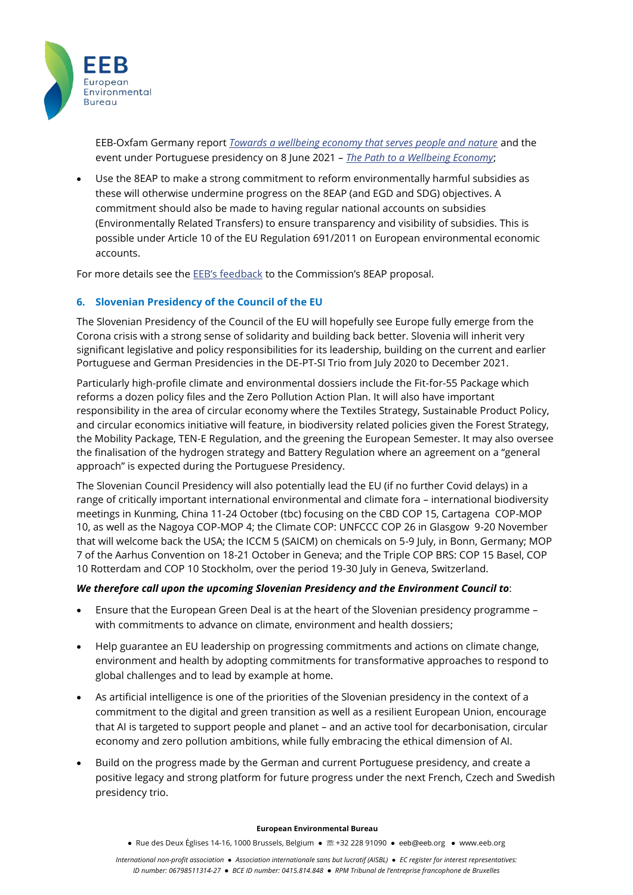

EEB-Oxfam Germany report *[Towards a wellbeing economy that serves people and nature](https://eeb.org/library/summary-towards-a-wellbeing-economy-that-serves-people-and-nature/)* and the event under Portuguese presidency on 8 June 2021 – *[The Path to a Wellbeing Economy](https://www.facebook.com/events/1459961527681171)*;

• Use the 8EAP to make a strong commitment to reform environmentally harmful subsidies as these will otherwise undermine progress on the 8EAP (and EGD and SDG) objectives. A commitment should also be made to having regular national accounts on subsidies (Environmentally Related Transfers) to ensure transparency and visibility of subsidies. This is possible under Article 10 of the EU Regulation 691/2011 on European environmental economic accounts.

For more details see the EEB's [feedback](https://eeb.org/library/eeb-feedback-on-the-8th-environment-action-programme-8eap/) to the Commission's 8EAP proposal.

# **6. Slovenian Presidency of the Council of the EU**

The Slovenian Presidency of the Council of the EU will hopefully see Europe fully emerge from the Corona crisis with a strong sense of solidarity and building back better. Slovenia will inherit very significant legislative and policy responsibilities for its leadership, building on the current and earlier Portuguese and German Presidencies in the DE-PT-SI Trio from July 2020 to December 2021.

Particularly high-profile climate and environmental dossiers include the Fit-for-55 Package which reforms a dozen policy files and the Zero Pollution Action Plan. It will also have important responsibility in the area of circular economy where the Textiles Strategy, Sustainable Product Policy, and circular economics initiative will feature, in biodiversity related policies given the Forest Strategy, the Mobility Package, TEN-E Regulation, and the greening the European Semester. It may also oversee the finalisation of the hydrogen strategy and Battery Regulation where an agreement on a "general approach" is expected during the Portuguese Presidency.

The Slovenian Council Presidency will also potentially lead the EU (if no further Covid delays) in a range of critically important international environmental and climate fora – international biodiversity meetings in Kunming, China 11-24 October (tbc) focusing on the CBD COP 15, Cartagena COP-MOP 10, as well as the Nagoya COP-MOP 4; the Climate COP: UNFCCC COP 26 in Glasgow 9-20 November that will welcome back the USA; the ICCM 5 (SAICM) on chemicals on 5-9 July, in Bonn, Germany; MOP 7 of the Aarhus Convention on 18-21 October in Geneva; and the Triple COP BRS: COP 15 Basel, COP 10 Rotterdam and COP 10 Stockholm, over the period 19-30 July in Geneva, Switzerland.

# *We therefore call upon the upcoming Slovenian Presidency and the Environment Council to*:

- Ensure that the European Green Deal is at the heart of the Slovenian presidency programme with commitments to advance on climate, environment and health dossiers;
- Help guarantee an EU leadership on progressing commitments and actions on climate change, environment and health by adopting commitments for transformative approaches to respond to global challenges and to lead by example at home.
- As artificial intelligence is one of the priorities of the Slovenian presidency in the context of a commitment to the digital and green transition as well as a resilient European Union, encourage that AI is targeted to support people and planet – and an active tool for decarbonisation, circular economy and zero pollution ambitions, while fully embracing the ethical dimension of AI.
- Build on the progress made by the German and current Portuguese presidency, and create a positive legacy and strong platform for future progress under the next French, Czech and Swedish presidency trio.

### **European Environmental Bureau**